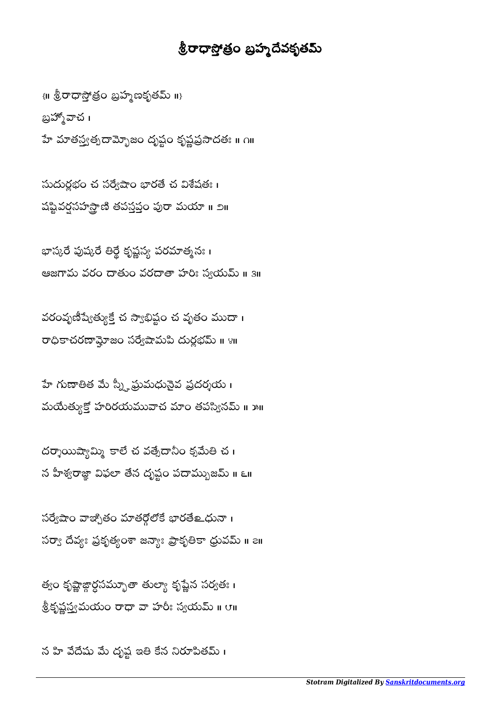## శ్రీరాధాస్తోత్రం బ్రహ్మదేవకృతమ్

 $\{ \mathfrak{m} \stackrel{1}{\otimes}$ రాధాస్తోతం బ్రహ్మణకృతమ్ ॥} బ్రహ్మోచ । హే మాతస్త్వత్పదామ్భోజం దృష్టం కృష్ణప్రసాదతః ॥ ౧॥

 $\tilde{\omega}$ దుర్ణభం చ $\tilde{\omega}$ నేగ్దేషాం భారతే చ $\tilde{\omega}$ శేషతః । షష్టివర్షసహస్తాణి తపస్తప్తం పురా మయా ॥ ౨॥

భాస్కరే పుష్కరే తిర్థే కృష్ణస్య పరమాత్మనః । ఆజగామ వరం దాతుం వరదాతా హరిః స్వయమ్ ॥ ३॥

వరంవృణీష్యేత్యుక్తే చ స్వాభిష్టం చ వృతం ముదా । రాధికాచరణామ్లోజం సర్వేషామపి దుర్ణభమ్ ॥ ४॥

హే గుణాతిత మే స్న్హీప్రుమధునైవ ప్రదర్శయ । మయేత్యుక్తో హరిరయమువాచ మాం తపస్వినమ్ ॥ ౫॥

దర్శాయిష్యామ్మి కాలే చ వత్సేదానీం క్సమేతి చ $\,$  i న హీశ్వరాజ్ఞా విఫలా తేన దృష్టం పదామ్భుజమ్ ॥ ౬॥

సర్వేషాం వాజ్చోతం మాతర్గోలోకే భారతే లధునా । సర్వా దేవ్యః ప్రకృత్యంశా జన్యాః ప్రాకృతికా ధ్రువమ్ ॥ ౭॥

త్యం కృష్ణాజ్గార్ధసమ్భూతా తుల్యా కృష్ణెన సర్వతః । శ్రీకృష్ణస్త్రమయం రాధా వా హారీః స్వయమ్ ॥ ౮॥

న హి వేదేషు మే దృష్ట ఇతి కేన నిరూపితమ్ ।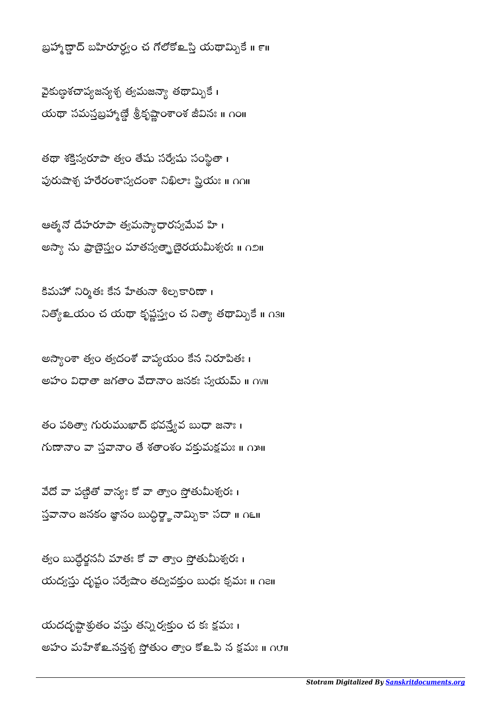యదదృష్టాశ్రుతం వస్తు తన్ని ర్వక్తుం చ కః క్షమః । అహం మహేశో లనన్తశ్చ స్తోతుం త్వాం కో లవి న క్షమః ॥ ∩౮॥

త్వం బుద్ధెర్జనని మాతః కో వా త్వాం స్తోతుమిశ్వరః । యద్వస్తు దృష్టం సర్వేషాం తద్వివక్తుం బుధః క్సమః ॥ ∩౭॥

వేదో వా పణ్ధితో వాన్యః కో వా త్వాం స్తోతుమీశ్వరః । స్తవానా౦ జనక౦ జ్ఞాన౦ బుద్ధిర్జ్ఞానామ్బికా సదా ॥ ౧౬॥  $\overline{a}$ 

తం పఠిత్యా గురుముఖాద్ భవన్త్యేవ బుధా జనాః।  $\kappa$ గుణానాం హ $\kappa$  సహనాం తే శతాంశం వకుమక్షమః ॥  $\kappa$ ు॥

అస్యాంశా త్వం త్వదంశో వాప్యయం కేన నిరూపితః। అహం విధాతా జగతాం వేదానాం జనకః స్వయమ్ ॥ ౧४॥

కిమహో నిర్మితః కేన హేతునా శిల్పకారిణా ၊ నిత్యో లయం చ యథా కృష్ణస్త్రం చ నిత్యా తథామ్బికే ॥ ౧౩॥

ఆత్మనో దేహరూపా త్యమస్యాధారస్వమేవ హి। అస్యా ను ప్రాణైస్త్రం మాతస్వత్ఫాణైరయమీశ్వరః ॥ ౧౨॥

తథా శక్తిస్వరూపా త్వం తేషు సర్వేషు సంస్థితా । து ஜிலி ரேல்க் ஜெல் உல் கானி மா

వైకుణ్ణశచాప్యజన్య త్వమజన్యా తథామ్బికే। యథా సమస్తబ్రహ్మణ్దే శ్రీకృష్ణాంశాంశ జీవినః ॥ ౧౦॥

బ్రహ్మాణ్దా బహిరూర్డ్యం చ గోలోకోஉస్తి యథామ్బికే ॥ ౯॥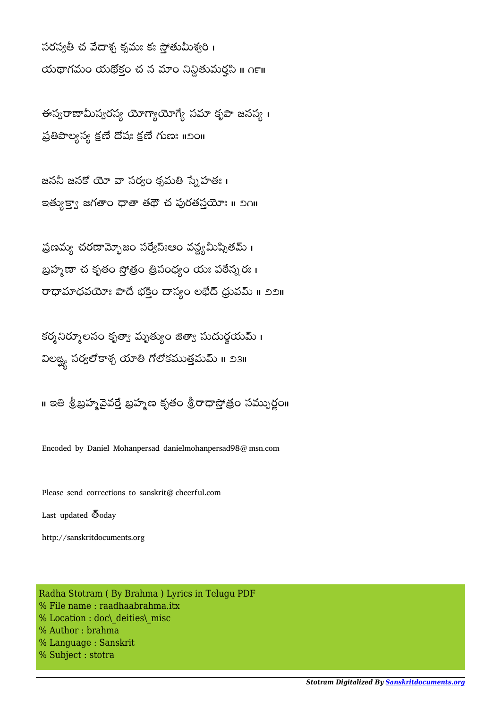సరస్వతీ చ వేదాశ్న కృమః కః సోతుమీశ్వరి । యథాగమం యథోకం చ న మాం నిన్ధితుమర్తసి <mark>။</mark>  $n$ ౯॥

ఈస్వరాణామీస్వరస్వ యోగ్యాయోగ్యే సమా కృపా జనస్వ । ప్రతిపాల్యస్య క్షణే దేషః క్షణే గుణః ॥೨೦॥

జననీ జనకో యో వా సర్వం క్రమతి స్నేహతః । ఇత్యుక్వా జగతాం ధాతా తథౌ చ పురతస్తయోః ॥ ౨౧॥

ప్రణమ్య చరణామ్బోజం సర్వేస్ఃఆం వన్య మీప్నితమ్ । బ్రహ్మణా చ కృతం స్తోత్రం త్రిసంధ్యం యః పఠేన్నరః। రాధామాధవయోః పాదే భక్తిం దాస్యం లభేద్ ధ్రువమ్ ॥ ೨೨॥

కర్మనిర్మూలనం కృత్యా మృత్యుం జిత్యా సుదుర్గయమ్ । విలఙ్ఘ సర్వలోకాశ్చ యాతి గోలోకముత్తమమ్ ॥ ౨౩॥

॥ ఇతి శ్రీబ్రహ్మవైవర్తే బ్రహ్మణ కృతం శ్రీరాధాస్తోత్రం సమ్పుర్ణం॥

Encoded by Daniel Mohanpersad danielmohanpersad98@msn.com

Please send corrections to sanskrit@cheerful.com

Last updated  $\bar{\mathbb{S}}$ oday

http://sanskritdocuments.org

Radha Stotram ( By Brahma ) Lyrics in Telugu PDF % File name : raadhaabrahma.itx % Location : doc\ deities\ misc % Author : brahma % Language : Sanskrit % Subject : stotra